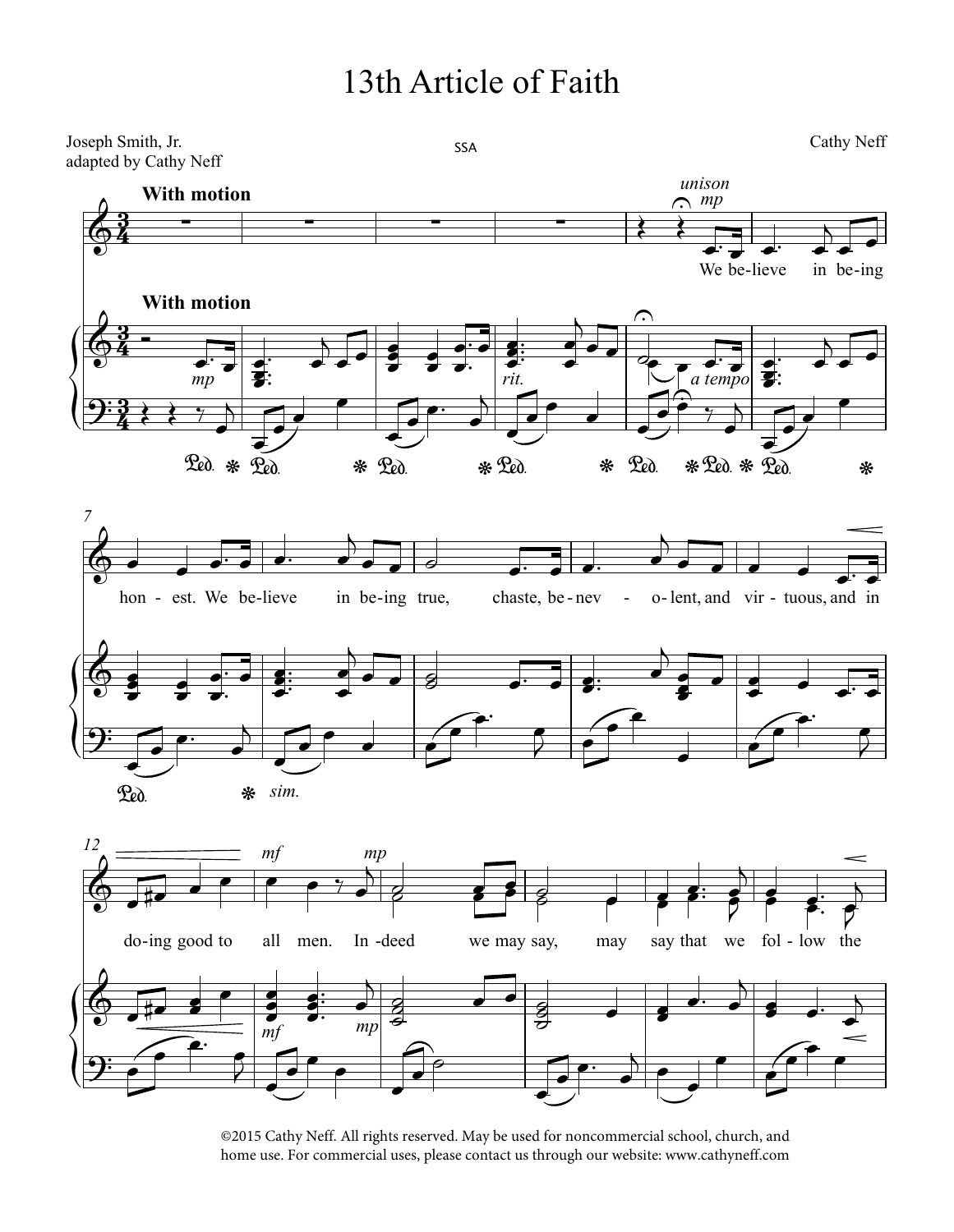## 13th Article of Faith



©2015 Cathy Neff. All rights reserved. May be used for noncommercial school, church, and home use. For commercial uses, please contact us through our website: www.cathyneff.com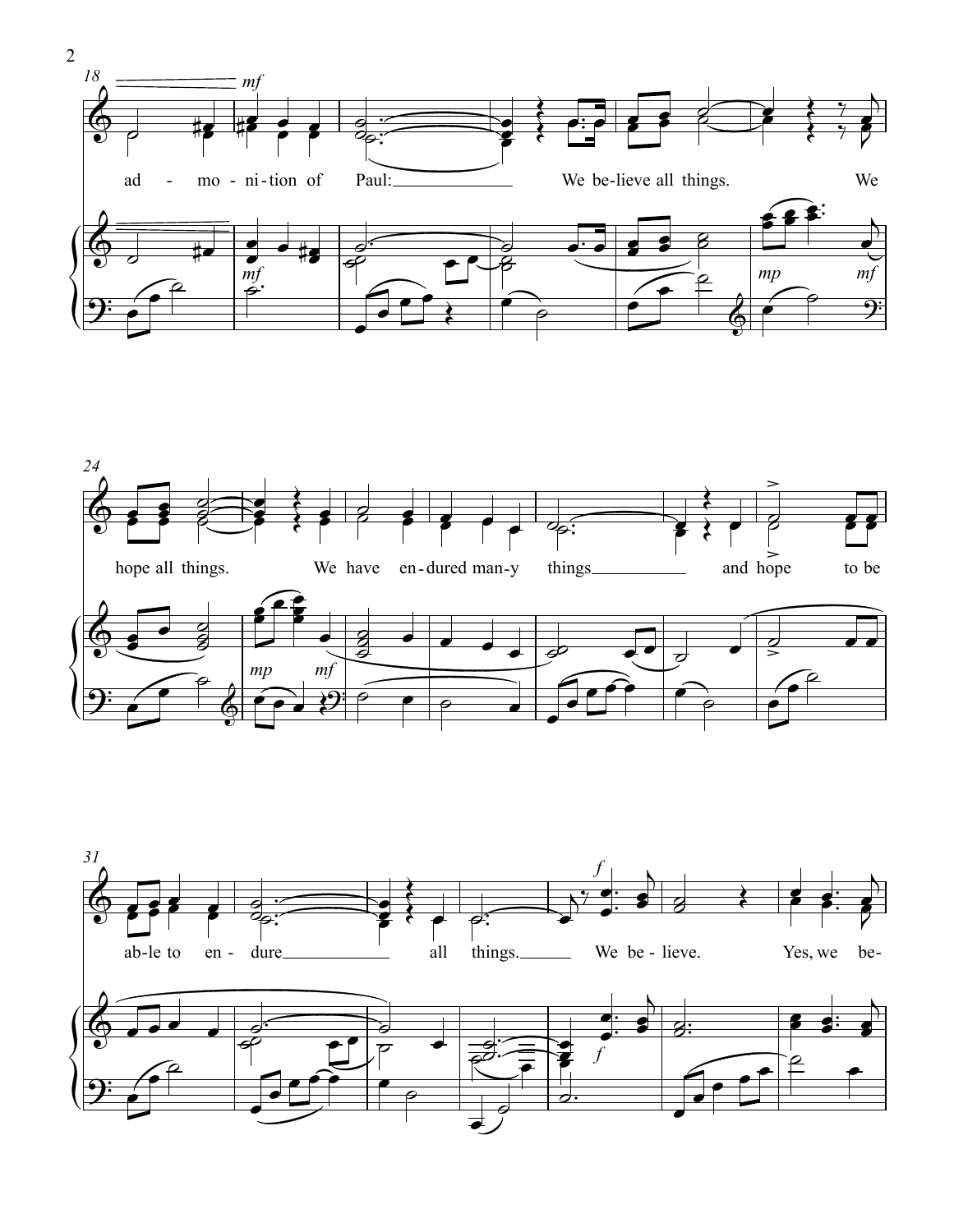



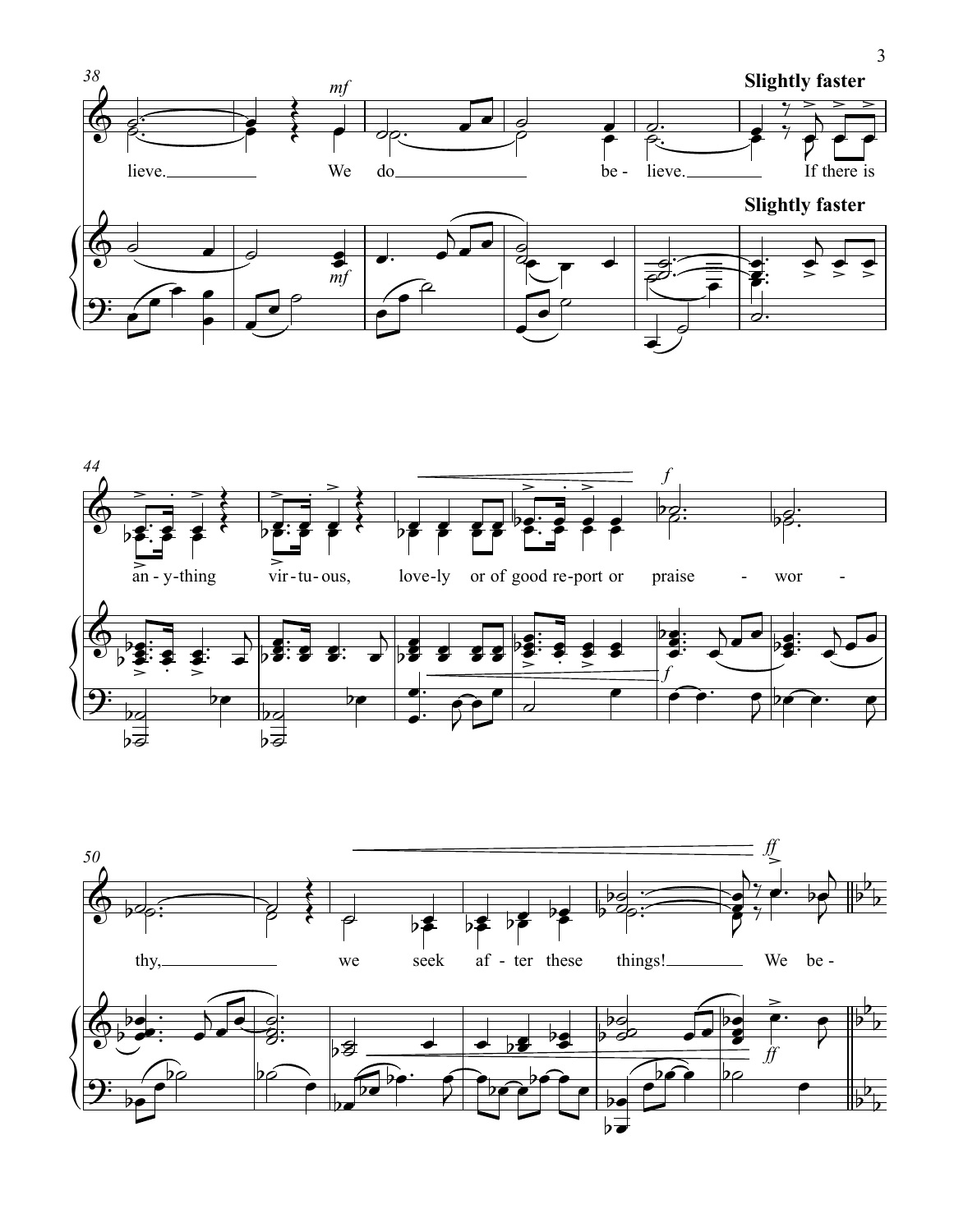